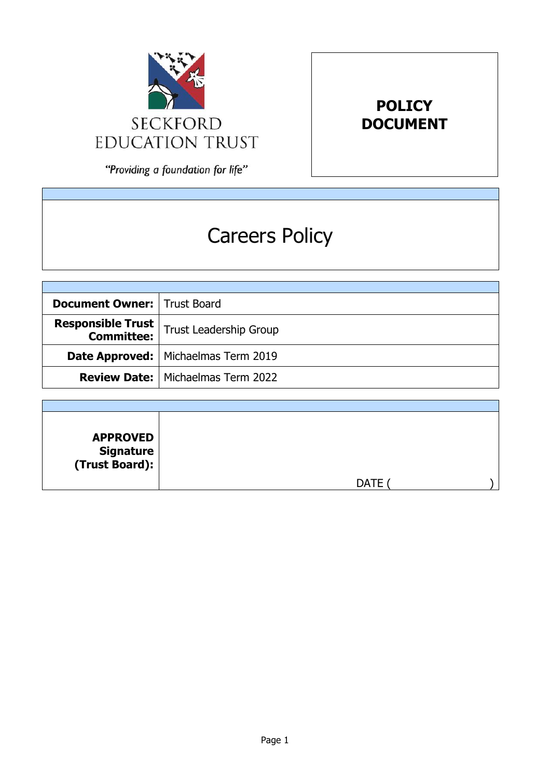

**POLICY DOCUMENT**

"Providing a foundation for life"

# Careers Policy

| <b>Document Owner:   Trust Board</b> |                                                                      |
|--------------------------------------|----------------------------------------------------------------------|
|                                      | <b>Responsible Trust</b><br><b>Committee:</b> Trust Leadership Group |
|                                      | Date Approved:   Michaelmas Term 2019                                |
|                                      | <b>Review Date:</b>   Michaelmas Term 2022                           |

| <b>APPROVED</b><br>  Signature<br>  (Trust Board): |             |
|----------------------------------------------------|-------------|
|                                                    | <b>DATE</b> |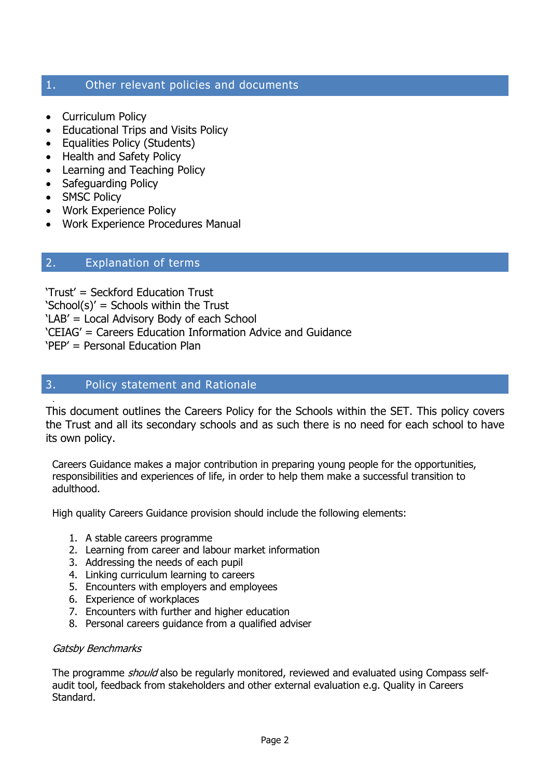# 1. Other relevant policies and documents

- Curriculum Policy
- Educational Trips and Visits Policy
- Equalities Policy (Students)
- Health and Safety Policy
- Learning and Teaching Policy
- Safeguarding Policy
- SMSC Policy

.

- Work Experience Policy
- Work Experience Procedures Manual

# 2. Explanation of terms

'Trust' = Seckford Education Trust 'School(s)' = Schools within the Trust 'LAB' = Local Advisory Body of each School 'CEIAG' = Careers Education Information Advice and Guidance 'PEP' = Personal Education Plan

# 3. Policy statement and Rationale

This document outlines the Careers Policy for the Schools within the SET. This policy covers the Trust and all its secondary schools and as such there is no need for each school to have its own policy.

Careers Guidance makes a major contribution in preparing young people for the opportunities, responsibilities and experiences of life, in order to help them make a successful transition to adulthood.

High quality Careers Guidance provision should include the following elements:

- 1. A stable careers programme
- 2. Learning from career and labour market information
- 3. Addressing the needs of each pupil
- 4. Linking curriculum learning to careers
- 5. Encounters with employers and employees
- 6. Experience of workplaces
- 7. Encounters with further and higher education
- 8. Personal careers guidance from a qualified adviser

#### Gatsby Benchmarks

The programme *should* also be regularly monitored, reviewed and evaluated using Compass selfaudit tool, feedback from stakeholders and other external evaluation e.g. Quality in Careers Standard.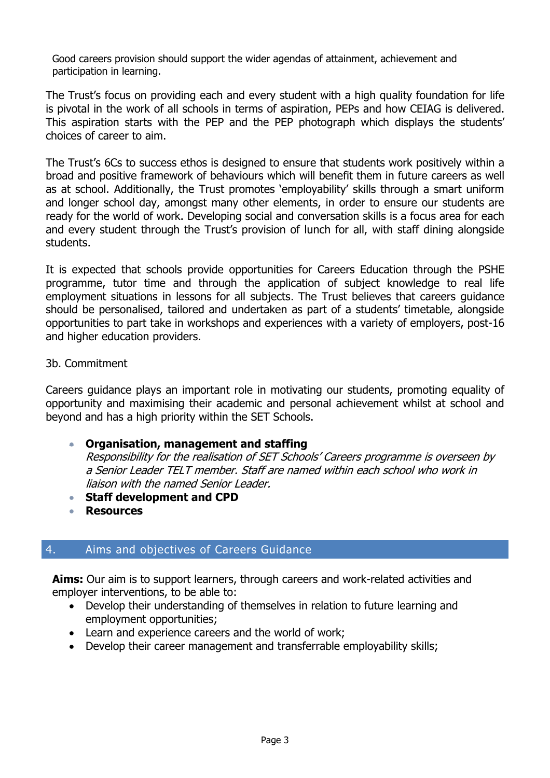Good careers provision should support the wider agendas of attainment, achievement and participation in learning.

The Trust's focus on providing each and every student with a high quality foundation for life is pivotal in the work of all schools in terms of aspiration, PEPs and how CEIAG is delivered. This aspiration starts with the PEP and the PEP photograph which displays the students' choices of career to aim.

The Trust's 6Cs to success ethos is designed to ensure that students work positively within a broad and positive framework of behaviours which will benefit them in future careers as well as at school. Additionally, the Trust promotes 'employability' skills through a smart uniform and longer school day, amongst many other elements, in order to ensure our students are ready for the world of work. Developing social and conversation skills is a focus area for each and every student through the Trust's provision of lunch for all, with staff dining alongside students.

It is expected that schools provide opportunities for Careers Education through the PSHE programme, tutor time and through the application of subject knowledge to real life employment situations in lessons for all subjects. The Trust believes that careers guidance should be personalised, tailored and undertaken as part of a students' timetable, alongside opportunities to part take in workshops and experiences with a variety of employers, post-16 and higher education providers.

3b. Commitment

Careers guidance plays an important role in motivating our students, promoting equality of opportunity and maximising their academic and personal achievement whilst at school and beyond and has a high priority within the SET Schools.

# **Organisation, management and staffing**

Responsibility for the realisation of SET Schools' Careers programme is overseen by a Senior Leader TELT member. Staff are named within each school who work in liaison with the named Senior Leader.

- **Staff development and CPD**
- **Resources**

# 4. Aims and objectives of Careers Guidance

**Aims:** Our aim is to support learners, through careers and work-related activities and employer interventions, to be able to:

- Develop their understanding of themselves in relation to future learning and employment opportunities;
- Learn and experience careers and the world of work:
- Develop their career management and transferrable employability skills;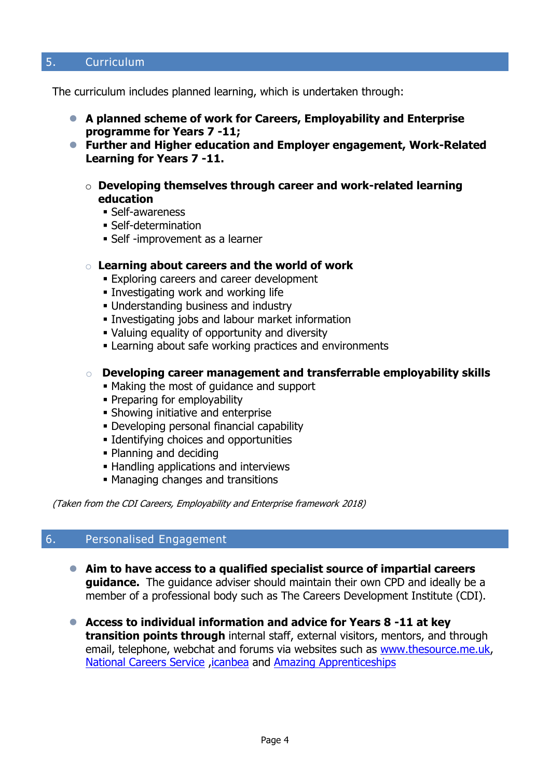# 5. Curriculum

The curriculum includes planned learning, which is undertaken through:

- **A planned scheme of work for Careers, Employability and Enterprise programme for Years 7 -11;**
- **Further and Higher education and Employer engagement, Work-Related Learning for Years 7 -11.**
	- o **Developing themselves through career and work-related learning education**
		- Self-awareness
		- Self-determination
		- Self -improvement as a learner

#### o **Learning about careers and the world of work**

- Exploring careers and career development
- Investigating work and working life
- Understanding business and industry
- **Investigating jobs and labour market information**
- Valuing equality of opportunity and diversity
- Learning about safe working practices and environments

#### o **Developing career management and transferrable employability skills**

- Making the most of guidance and support
- Preparing for employability
- Showing initiative and enterprise
- Developing personal financial capability
- Identifying choices and opportunities
- Planning and deciding
- Handling applications and interviews
- Managing changes and transitions

(Taken from the CDI Careers, Employability and Enterprise framework 2018)

#### 6. Personalised Engagement

- **Aim to have access to a qualified specialist source of impartial careers guidance.** The guidance adviser should maintain their own CPD and ideally be a member of a professional body such as The Careers Development Institute (CDI).
- **Access to individual information and advice for Years 8 -11 at key transition points through** internal staff, external visitors, mentors, and through email, telephone, webchat and forums via websites such as [www.thesource.me.uk,](http://www.thesource.me.uk/) [National Careers Service](https://nationalcareersservice.direct.gov.uk/) [,icanbea](https://www.icanbea.org.uk/) and [Amazing Apprenticeships](https://amazingapprenticeships.com/)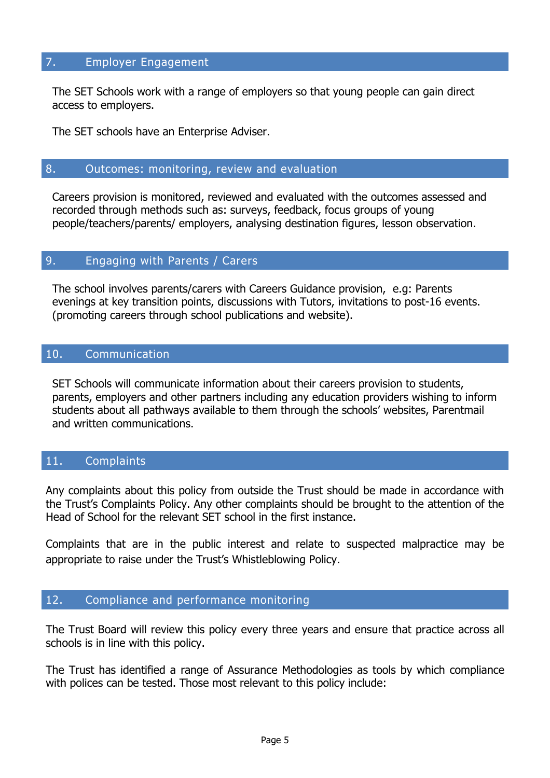#### 7. Employer Engagement

The SET Schools work with a range of employers so that young people can gain direct access to employers.

The SET schools have an Enterprise Adviser.

## 8. Outcomes: monitoring, review and evaluation

Careers provision is monitored, reviewed and evaluated with the outcomes assessed and recorded through methods such as: surveys, feedback, focus groups of young people/teachers/parents/ employers, analysing destination figures, lesson observation.

#### 9. Engaging with Parents / Carers

The school involves parents/carers with Careers Guidance provision, e.g: Parents evenings at key transition points, discussions with Tutors, invitations to post-16 events. (promoting careers through school publications and website).

# 10. Communication

SET Schools will communicate information about their careers provision to students, parents, employers and other partners including any education providers wishing to inform students about all pathways available to them through the schools' websites, Parentmail and written communications.

# 11. Complaints

Any complaints about this policy from outside the Trust should be made in accordance with the Trust's Complaints Policy. Any other complaints should be brought to the attention of the Head of School for the relevant SET school in the first instance.

Complaints that are in the public interest and relate to suspected malpractice may be appropriate to raise under the Trust's Whistleblowing Policy.

#### 12. Compliance and performance monitoring

The Trust Board will review this policy every three years and ensure that practice across all schools is in line with this policy.

The Trust has identified a range of Assurance Methodologies as tools by which compliance with polices can be tested. Those most relevant to this policy include: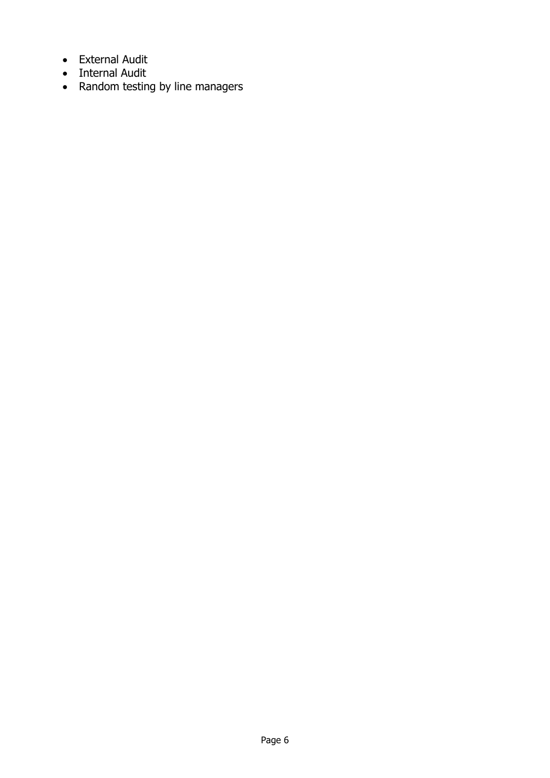- External Audit
- Internal Audit
- Random testing by line managers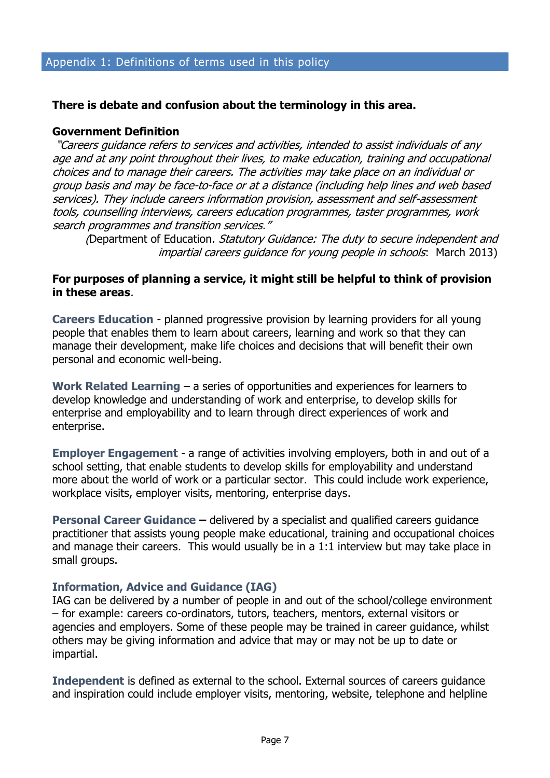#### **There is debate and confusion about the terminology in this area.**

#### **Government Definition**

"Careers guidance refers to services and activities, intended to assist individuals of any age and at any point throughout their lives, to make education, training and occupational choices and to manage their careers. The activities may take place on an individual or group basis and may be face-to-face or at a distance (including help lines and web based services). They include careers information provision, assessment and self-assessment tools, counselling interviews, careers education programmes, taster programmes, work search programmes and transition services."

(Department of Education. Statutory Guidance: The duty to secure independent and impartial careers guidance for young people in schools: March 2013)

#### **For purposes of planning a service, it might still be helpful to think of provision in these areas**.

**Careers Education** - planned progressive provision by learning providers for all young people that enables them to learn about careers, learning and work so that they can manage their development, make life choices and decisions that will benefit their own personal and economic well-being.

**Work Related Learning** – a series of opportunities and experiences for learners to develop knowledge and understanding of work and enterprise, to develop skills for enterprise and employability and to learn through direct experiences of work and enterprise.

**Employer Engagement** - a range of activities involving employers, both in and out of a school setting, that enable students to develop skills for employability and understand more about the world of work or a particular sector. This could include work experience, workplace visits, employer visits, mentoring, enterprise days.

**Personal Career Guidance –** delivered by a specialist and qualified careers guidance practitioner that assists young people make educational, training and occupational choices and manage their careers. This would usually be in a 1:1 interview but may take place in small groups.

#### **Information, Advice and Guidance (IAG)**

IAG can be delivered by a number of people in and out of the school/college environment – for example: careers co-ordinators, tutors, teachers, mentors, external visitors or agencies and employers. Some of these people may be trained in career guidance, whilst others may be giving information and advice that may or may not be up to date or impartial.

**Independent** is defined as external to the school. External sources of careers guidance and inspiration could include employer visits, mentoring, website, telephone and helpline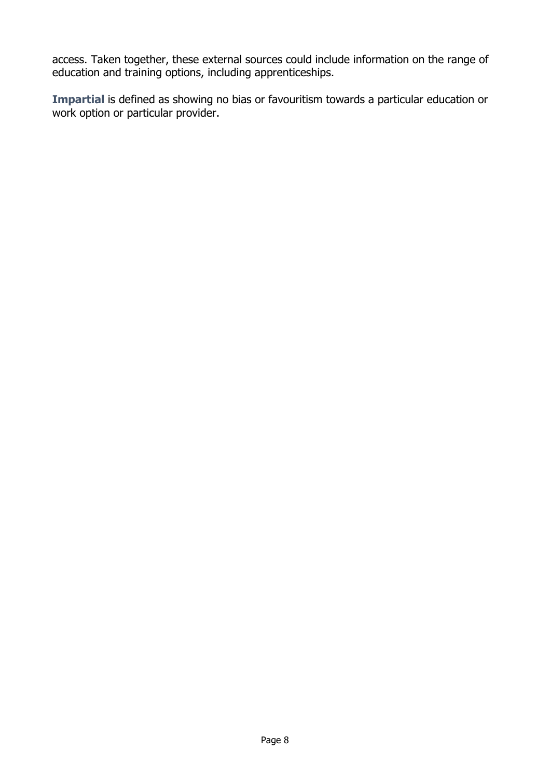access. Taken together, these external sources could include information on the range of education and training options, including apprenticeships.

**Impartial** is defined as showing no bias or favouritism towards a particular education or work option or particular provider.